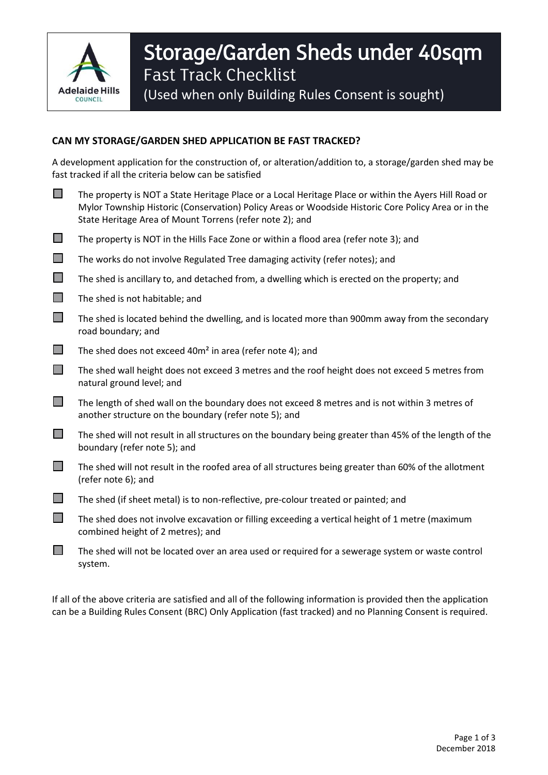

## Storage/Garden Sheds under 40sqm Fast Track Checklist (Used when only Building Rules Consent is sought)

## **CAN MY STORAGE/GARDEN SHED APPLICATION BE FAST TRACKED?**

A development application for the construction of, or alteration/addition to, a storage/garden shed may be fast tracked if all the criteria below can be satisfied

- The property is NOT a State Heritage Place or a Local Heritage Place or within the Ayers Hill Road or Mylor Township Historic (Conservation) Policy Areas or Woodside Historic Core Policy Area or in the State Heritage Area of Mount Torrens (refer note 2); and
- $\Box$  The property is NOT in the Hills Face Zone or within a flood area (refer note 3); and
- $\Box$  The works do not involve Regulated Tree damaging activity (refer notes); and
- $\Box$  The shed is ancillary to, and detached from, a dwelling which is erected on the property; and
- $\Box$  The shed is not habitable; and
- $\Box$  The shed is located behind the dwelling, and is located more than 900mm away from the secondary road boundary; and
- The shed does not exceed 40 $m<sup>2</sup>$  in area (refer note 4); and
- $\Box$  The shed wall height does not exceed 3 metres and the roof height does not exceed 5 metres from natural ground level; and
- $\Box$  The length of shed wall on the boundary does not exceed 8 metres and is not within 3 metres of another structure on the boundary (refer note 5); and
- $\Box$  The shed will not result in all structures on the boundary being greater than 45% of the length of the boundary (refer note 5); and
- $\Box$  The shed will not result in the roofed area of all structures being greater than 60% of the allotment (refer note 6); and
- The shed (if sheet metal) is to non-reflective, pre-colour treated or painted; and
- $\Box$  The shed does not involve excavation or filling exceeding a vertical height of 1 metre (maximum combined height of 2 metres); and
- $\Box$  The shed will not be located over an area used or required for a sewerage system or waste control system.

If all of the above criteria are satisfied and all of the following information is provided then the application can be a Building Rules Consent (BRC) Only Application (fast tracked) and no Planning Consent is required.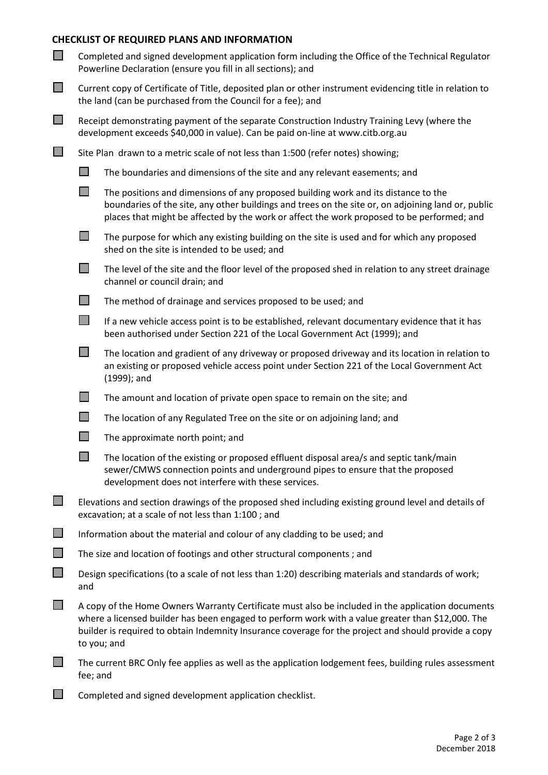## **CHECKLIST OF REQUIRED PLANS AND INFORMATION**

| $\Box$                      | Completed and signed development application form including the Office of the Technical Regulator<br>Powerline Declaration (ensure you fill in all sections); and                                                                                                                                                             |                                                                                                                                                                                                                                                                                        |  |
|-----------------------------|-------------------------------------------------------------------------------------------------------------------------------------------------------------------------------------------------------------------------------------------------------------------------------------------------------------------------------|----------------------------------------------------------------------------------------------------------------------------------------------------------------------------------------------------------------------------------------------------------------------------------------|--|
| $\Box$                      | Current copy of Certificate of Title, deposited plan or other instrument evidencing title in relation to<br>the land (can be purchased from the Council for a fee); and                                                                                                                                                       |                                                                                                                                                                                                                                                                                        |  |
| $\Box$                      |                                                                                                                                                                                                                                                                                                                               | Receipt demonstrating payment of the separate Construction Industry Training Levy (where the<br>development exceeds \$40,000 in value). Can be paid on-line at www.citb.org.au                                                                                                         |  |
| $\mathcal{L}^{\mathcal{A}}$ | Site Plan drawn to a metric scale of not less than 1:500 (refer notes) showing;                                                                                                                                                                                                                                               |                                                                                                                                                                                                                                                                                        |  |
|                             | $\Box$                                                                                                                                                                                                                                                                                                                        | The boundaries and dimensions of the site and any relevant easements; and                                                                                                                                                                                                              |  |
|                             | $\Box$                                                                                                                                                                                                                                                                                                                        | The positions and dimensions of any proposed building work and its distance to the<br>boundaries of the site, any other buildings and trees on the site or, on adjoining land or, public<br>places that might be affected by the work or affect the work proposed to be performed; and |  |
|                             | $\Box$                                                                                                                                                                                                                                                                                                                        | The purpose for which any existing building on the site is used and for which any proposed<br>shed on the site is intended to be used; and                                                                                                                                             |  |
|                             | $\mathbb{R}^n$                                                                                                                                                                                                                                                                                                                | The level of the site and the floor level of the proposed shed in relation to any street drainage<br>channel or council drain; and                                                                                                                                                     |  |
|                             |                                                                                                                                                                                                                                                                                                                               | The method of drainage and services proposed to be used; and                                                                                                                                                                                                                           |  |
|                             | $\mathcal{L}_{\mathcal{A}}$                                                                                                                                                                                                                                                                                                   | If a new vehicle access point is to be established, relevant documentary evidence that it has<br>been authorised under Section 221 of the Local Government Act (1999); and                                                                                                             |  |
|                             |                                                                                                                                                                                                                                                                                                                               | The location and gradient of any driveway or proposed driveway and its location in relation to<br>an existing or proposed vehicle access point under Section 221 of the Local Government Act<br>$(1999)$ ; and                                                                         |  |
|                             | H                                                                                                                                                                                                                                                                                                                             | The amount and location of private open space to remain on the site; and                                                                                                                                                                                                               |  |
|                             | $\mathbb{R}^n$                                                                                                                                                                                                                                                                                                                | The location of any Regulated Tree on the site or on adjoining land; and                                                                                                                                                                                                               |  |
|                             | <b>COL</b>                                                                                                                                                                                                                                                                                                                    | The approximate north point; and                                                                                                                                                                                                                                                       |  |
|                             |                                                                                                                                                                                                                                                                                                                               | The location of the existing or proposed effluent disposal area/s and septic tank/main<br>sewer/CMWS connection points and underground pipes to ensure that the proposed<br>development does not interfere with these services.                                                        |  |
| $\Box$                      | Elevations and section drawings of the proposed shed including existing ground level and details of<br>excavation; at a scale of not less than 1:100; and                                                                                                                                                                     |                                                                                                                                                                                                                                                                                        |  |
| $\Box$                      | Information about the material and colour of any cladding to be used; and                                                                                                                                                                                                                                                     |                                                                                                                                                                                                                                                                                        |  |
| $\Box$                      | The size and location of footings and other structural components; and                                                                                                                                                                                                                                                        |                                                                                                                                                                                                                                                                                        |  |
|                             | Design specifications (to a scale of not less than 1:20) describing materials and standards of work;<br>and                                                                                                                                                                                                                   |                                                                                                                                                                                                                                                                                        |  |
|                             | A copy of the Home Owners Warranty Certificate must also be included in the application documents<br>where a licensed builder has been engaged to perform work with a value greater than \$12,000. The<br>builder is required to obtain Indemnity Insurance coverage for the project and should provide a copy<br>to you; and |                                                                                                                                                                                                                                                                                        |  |
|                             | The current BRC Only fee applies as well as the application lodgement fees, building rules assessment<br>fee; and                                                                                                                                                                                                             |                                                                                                                                                                                                                                                                                        |  |
|                             |                                                                                                                                                                                                                                                                                                                               | Completed and signed development application shocklist                                                                                                                                                                                                                                 |  |

 $\Box$  Completed and signed development application checklist.